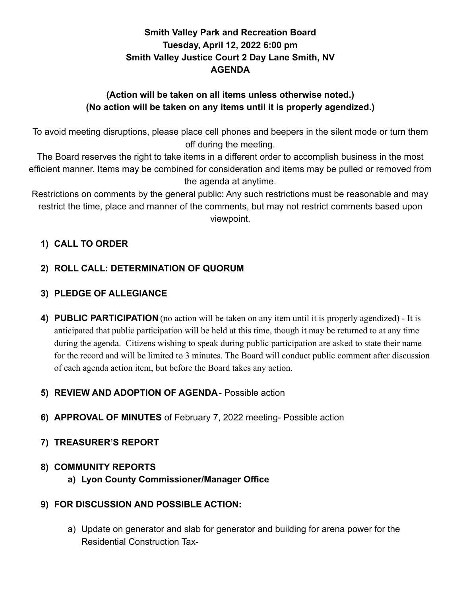# **Smith Valley Park and Recreation Board Tuesday, April 12, 2022 6:00 pm Smith Valley Justice Court 2 Day Lane Smith, NV AGENDA**

### **(Action will be taken on all items unless otherwise noted.) (No action will be taken on any items until it is properly agendized.)**

To avoid meeting disruptions, please place cell phones and beepers in the silent mode or turn them off during the meeting.

The Board reserves the right to take items in a different order to accomplish business in the most efficient manner. Items may be combined for consideration and items may be pulled or removed from the agenda at anytime.

Restrictions on comments by the general public: Any such restrictions must be reasonable and may restrict the time, place and manner of the comments, but may not restrict comments based upon viewpoint.

# **1) CALL TO ORDER**

# **2) ROLL CALL: DETERMINATION OF QUORUM**

### **3) PLEDGE OF ALLEGIANCE**

**4) PUBLIC PARTICIPATION** (no action will be taken on any item until it is properly agendized) - It is anticipated that public participation will be held at this time, though it may be returned to at any time during the agenda. Citizens wishing to speak during public participation are asked to state their name for the record and will be limited to 3 minutes. The Board will conduct public comment after discussion of each agenda action item, but before the Board takes any action.

### **5) REVIEW AND ADOPTION OF AGENDA**- Possible action

**6) APPROVAL OF MINUTES** of February 7, 2022 meeting- Possible action

### **7) TREASURER'S REPORT**

### **8) COMMUNITY REPORTS**

**a) Lyon County Commissioner/Manager Office**

#### **9) FOR DISCUSSION AND POSSIBLE ACTION:**

a) Update on generator and slab for generator and building for arena power for the Residential Construction Tax-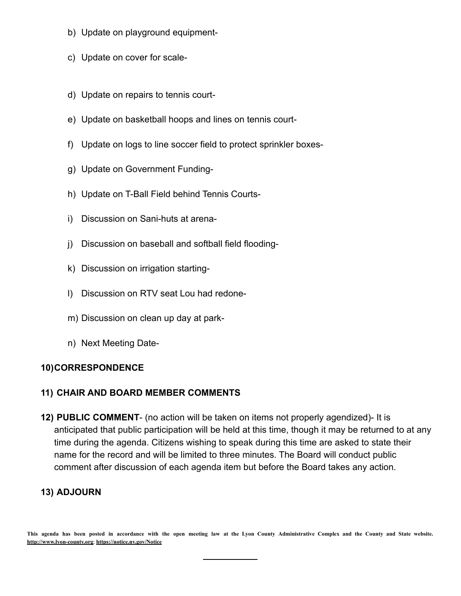- b) Update on playground equipment-
- c) Update on cover for scale-
- d) Update on repairs to tennis court-
- e) Update on basketball hoops and lines on tennis court-
- f) Update on logs to line soccer field to protect sprinkler boxes-
- g) Update on Government Funding-
- h) Update on T-Ball Field behind Tennis Courts-
- i) Discussion on Sani-huts at arena-
- j) Discussion on baseball and softball field flooding-
- k) Discussion on irrigation starting-
- l) Discussion on RTV seat Lou had redone-
- m) Discussion on clean up day at park-
- n) Next Meeting Date-

#### **10)CORRESPONDENCE**

#### **11) CHAIR AND BOARD MEMBER COMMENTS**

**12) PUBLIC COMMENT**- (no action will be taken on items not properly agendized)- It is anticipated that public participation will be held at this time, though it may be returned to at any time during the agenda. Citizens wishing to speak during this time are asked to state their name for the record and will be limited to three minutes. The Board will conduct public comment after discussion of each agenda item but before the Board takes any action.

### **13) ADJOURN**